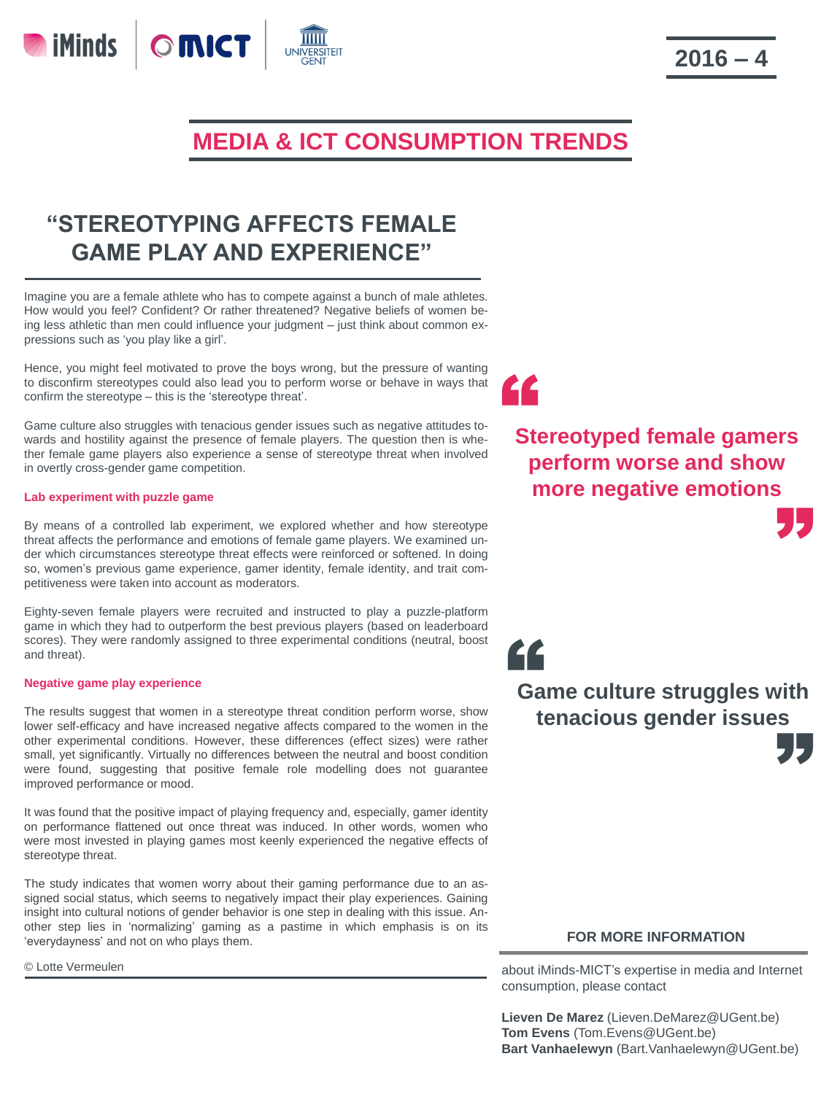# **MEDIA & ICT CONSUMPTION TRENDS**

## **"STEREOTYPING AFFECTS FEMALE GAME PLAY AND EXPERIENCE"**

Imagine you are a female athlete who has to compete against a bunch of male athletes. How would you feel? Confident? Or rather threatened? Negative beliefs of women being less athletic than men could influence your judgment – just think about common expressions such as 'you play like a girl'.

Hence, you might feel motivated to prove the boys wrong, but the pressure of wanting to disconfirm stereotypes could also lead you to perform worse or behave in ways that confirm the stereotype – this is the 'stereotype threat'.

Game culture also struggles with tenacious gender issues such as negative attitudes towards and hostility against the presence of female players. The question then is whether female game players also experience a sense of stereotype threat when involved in overtly cross-gender game competition.

### **Lab experiment with puzzle game**

By means of a controlled lab experiment, we explored whether and how stereotype threat affects the performance and emotions of female game players. We examined under which circumstances stereotype threat effects were reinforced or softened. In doing so, women's previous game experience, gamer identity, female identity, and trait competitiveness were taken into account as moderators.

Eighty-seven female players were recruited and instructed to play a puzzle-platform game in which they had to outperform the best previous players (based on leaderboard scores). They were randomly assigned to three experimental conditions (neutral, boost and threat).

#### **Negative game play experience**

The results suggest that women in a stereotype threat condition perform worse, show lower self-efficacy and have increased negative affects compared to the women in the other experimental conditions. However, these differences (effect sizes) were rather small, yet significantly. Virtually no differences between the neutral and boost condition were found, suggesting that positive female role modelling does not guarantee improved performance or mood.

It was found that the positive impact of playing frequency and, especially, gamer identity on performance flattened out once threat was induced. In other words, women who were most invested in playing games most keenly experienced the negative effects of stereotype threat.

The study indicates that women worry about their gaming performance due to an assigned social status, which seems to negatively impact their play experiences. Gaining insight into cultural notions of gender behavior is one step in dealing with this issue. Another step lies in 'normalizing' gaming as a pastime in which emphasis is on its 'everydayness' and not on who plays them.

© Lotte Vermeulen

**EC**<br>Stereotyped female gamers "<br>"J **perform worse and show more negative emotions** 

**tenacious gender issues** "

**Game culture struggles with** 

"

### **FOR MORE INFORMATION**

about iMinds-MICT's expertise in media and Internet consumption, please contact

**Lieven De Marez** (Lieven.DeMarez@UGent.be) **Tom Evens** (Tom.Evens@UGent.be) **Bart Vanhaelewyn** (Bart.Vanhaelewyn@UGent.be)